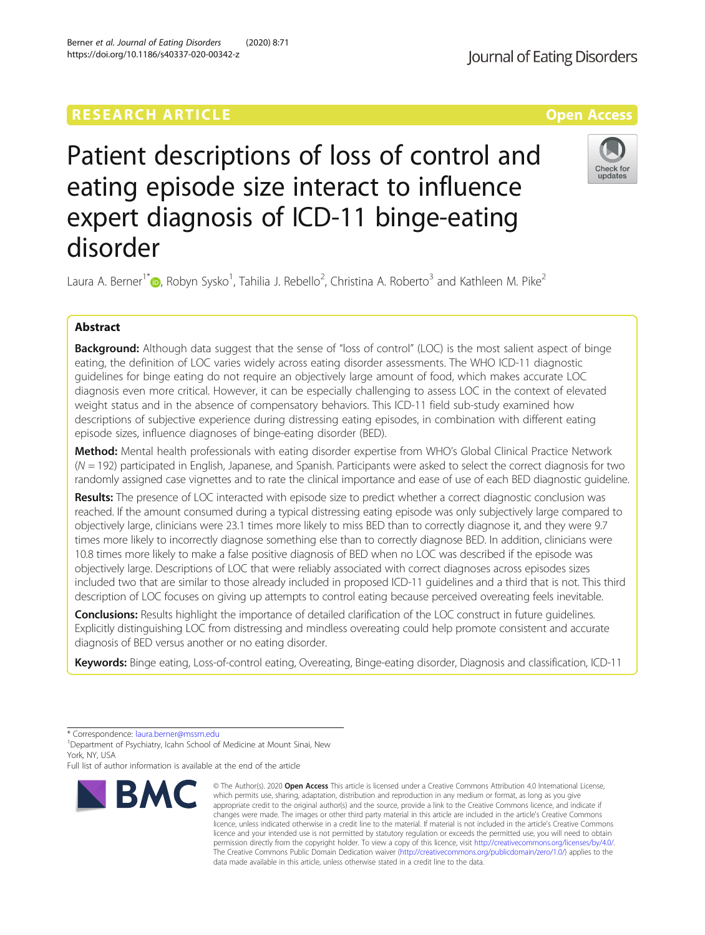# **RESEARCH ARTICLE External Structure Community Community Community Community Community Community Community Community**

# Patient descriptions of loss of control and eating episode size interact to influence expert diagnosis of ICD-11 binge-eating disorder

Laura A. Berner<sup>1\*</sup> $\bullet$ [,](http://orcid.org/0000-0002-1430-8028) Robyn Sysko<sup>1</sup>, Tahilia J. Rebello<sup>2</sup>, Christina A. Roberto<sup>3</sup> and Kathleen M. Pike<sup>2</sup>

## Abstract

Background: Although data suggest that the sense of "loss of control" (LOC) is the most salient aspect of binge eating, the definition of LOC varies widely across eating disorder assessments. The WHO ICD-11 diagnostic guidelines for binge eating do not require an objectively large amount of food, which makes accurate LOC diagnosis even more critical. However, it can be especially challenging to assess LOC in the context of elevated weight status and in the absence of compensatory behaviors. This ICD-11 field sub-study examined how descriptions of subjective experience during distressing eating episodes, in combination with different eating episode sizes, influence diagnoses of binge-eating disorder (BED).

Method: Mental health professionals with eating disorder expertise from WHO's Global Clinical Practice Network  $(N = 192)$  participated in English, Japanese, and Spanish. Participants were asked to select the correct diagnosis for two randomly assigned case vignettes and to rate the clinical importance and ease of use of each BED diagnostic guideline.

Results: The presence of LOC interacted with episode size to predict whether a correct diagnostic conclusion was reached. If the amount consumed during a typical distressing eating episode was only subjectively large compared to objectively large, clinicians were 23.1 times more likely to miss BED than to correctly diagnose it, and they were 9.7 times more likely to incorrectly diagnose something else than to correctly diagnose BED. In addition, clinicians were 10.8 times more likely to make a false positive diagnosis of BED when no LOC was described if the episode was objectively large. Descriptions of LOC that were reliably associated with correct diagnoses across episodes sizes included two that are similar to those already included in proposed ICD-11 guidelines and a third that is not. This third description of LOC focuses on giving up attempts to control eating because perceived overeating feels inevitable.

**Conclusions:** Results highlight the importance of detailed clarification of the LOC construct in future quidelines. Explicitly distinguishing LOC from distressing and mindless overeating could help promote consistent and accurate diagnosis of BED versus another or no eating disorder.

Keywords: Binge eating, Loss-of-control eating, Overeating, Binge-eating disorder, Diagnosis and classification, ICD-11

\* Correspondence: [laura.berner@mssm.edu](mailto:laura.berner@mssm.edu) <sup>1</sup>

<sup>1</sup> Department of Psychiatry, Icahn School of Medicine at Mount Sinai, New York, NY, USA

Full list of author information is available at the end of the article



© The Author(s), 2020 **Open Access** This article is licensed under a Creative Commons Attribution 4.0 International License, which permits use, sharing, adaptation, distribution and reproduction in any medium or format, as long as you give



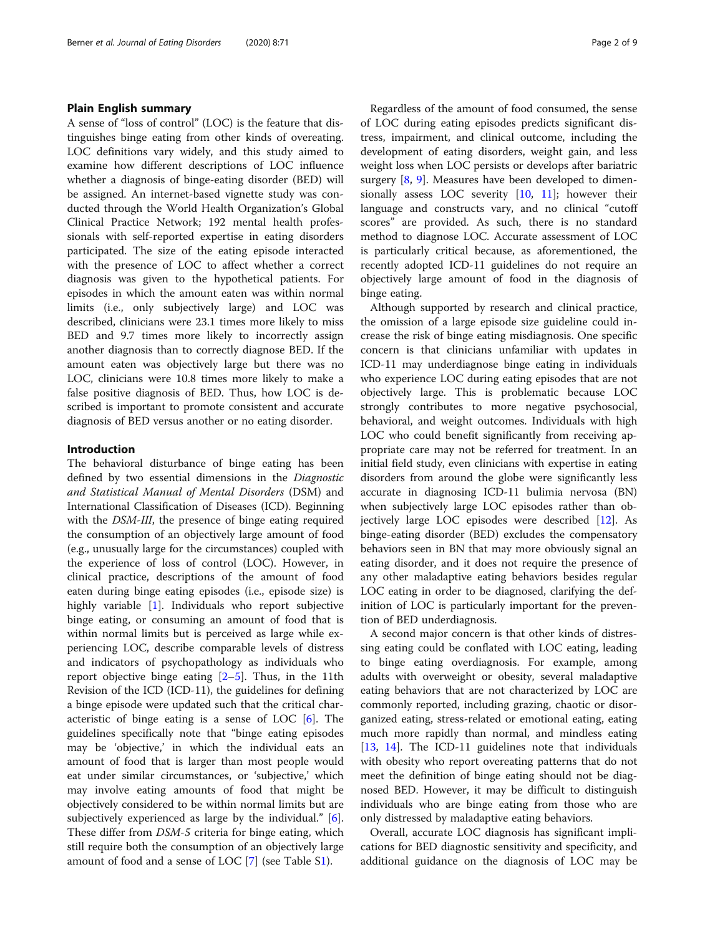#### Plain English summary

A sense of "loss of control" (LOC) is the feature that distinguishes binge eating from other kinds of overeating. LOC definitions vary widely, and this study aimed to examine how different descriptions of LOC influence whether a diagnosis of binge-eating disorder (BED) will be assigned. An internet-based vignette study was conducted through the World Health Organization's Global Clinical Practice Network; 192 mental health professionals with self-reported expertise in eating disorders participated. The size of the eating episode interacted with the presence of LOC to affect whether a correct diagnosis was given to the hypothetical patients. For episodes in which the amount eaten was within normal limits (i.e., only subjectively large) and LOC was described, clinicians were 23.1 times more likely to miss BED and 9.7 times more likely to incorrectly assign another diagnosis than to correctly diagnose BED. If the amount eaten was objectively large but there was no LOC, clinicians were 10.8 times more likely to make a false positive diagnosis of BED. Thus, how LOC is described is important to promote consistent and accurate diagnosis of BED versus another or no eating disorder.

#### Introduction

The behavioral disturbance of binge eating has been defined by two essential dimensions in the Diagnostic and Statistical Manual of Mental Disorders (DSM) and International Classification of Diseases (ICD). Beginning with the DSM-III, the presence of binge eating required the consumption of an objectively large amount of food (e.g., unusually large for the circumstances) coupled with the experience of loss of control (LOC). However, in clinical practice, descriptions of the amount of food eaten during binge eating episodes (i.e., episode size) is highly variable [[1](#page-7-0)]. Individuals who report subjective binge eating, or consuming an amount of food that is within normal limits but is perceived as large while experiencing LOC, describe comparable levels of distress and indicators of psychopathology as individuals who report objective binge eating  $[2-5]$  $[2-5]$  $[2-5]$  $[2-5]$  $[2-5]$ . Thus, in the 11th Revision of the ICD (ICD-11), the guidelines for defining a binge episode were updated such that the critical characteristic of binge eating is a sense of LOC  $[6]$  $[6]$ . The guidelines specifically note that "binge eating episodes may be 'objective,' in which the individual eats an amount of food that is larger than most people would eat under similar circumstances, or 'subjective,' which may involve eating amounts of food that might be objectively considered to be within normal limits but are subjectively experienced as large by the individual." [\[6](#page-7-0)]. These differ from DSM-5 criteria for binge eating, which still require both the consumption of an objectively large amount of food and a sense of LOC [\[7](#page-7-0)] (see Table S[1\)](#page-7-0).

Regardless of the amount of food consumed, the sense of LOC during eating episodes predicts significant distress, impairment, and clinical outcome, including the development of eating disorders, weight gain, and less weight loss when LOC persists or develops after bariatric surgery [\[8](#page-7-0), [9\]](#page-7-0). Measures have been developed to dimensionally assess LOC severity [[10,](#page-7-0) [11](#page-7-0)]; however their language and constructs vary, and no clinical "cutoff scores" are provided. As such, there is no standard method to diagnose LOC. Accurate assessment of LOC is particularly critical because, as aforementioned, the recently adopted ICD-11 guidelines do not require an objectively large amount of food in the diagnosis of binge eating.

Although supported by research and clinical practice, the omission of a large episode size guideline could increase the risk of binge eating misdiagnosis. One specific concern is that clinicians unfamiliar with updates in ICD-11 may underdiagnose binge eating in individuals who experience LOC during eating episodes that are not objectively large. This is problematic because LOC strongly contributes to more negative psychosocial, behavioral, and weight outcomes. Individuals with high LOC who could benefit significantly from receiving appropriate care may not be referred for treatment. In an initial field study, even clinicians with expertise in eating disorders from around the globe were significantly less accurate in diagnosing ICD-11 bulimia nervosa (BN) when subjectively large LOC episodes rather than objectively large LOC episodes were described [[12\]](#page-7-0). As binge-eating disorder (BED) excludes the compensatory behaviors seen in BN that may more obviously signal an eating disorder, and it does not require the presence of any other maladaptive eating behaviors besides regular LOC eating in order to be diagnosed, clarifying the definition of LOC is particularly important for the prevention of BED underdiagnosis.

A second major concern is that other kinds of distressing eating could be conflated with LOC eating, leading to binge eating overdiagnosis. For example, among adults with overweight or obesity, several maladaptive eating behaviors that are not characterized by LOC are commonly reported, including grazing, chaotic or disorganized eating, stress-related or emotional eating, eating much more rapidly than normal, and mindless eating [[13,](#page-7-0) [14](#page-7-0)]. The ICD-11 guidelines note that individuals with obesity who report overeating patterns that do not meet the definition of binge eating should not be diagnosed BED. However, it may be difficult to distinguish individuals who are binge eating from those who are only distressed by maladaptive eating behaviors.

Overall, accurate LOC diagnosis has significant implications for BED diagnostic sensitivity and specificity, and additional guidance on the diagnosis of LOC may be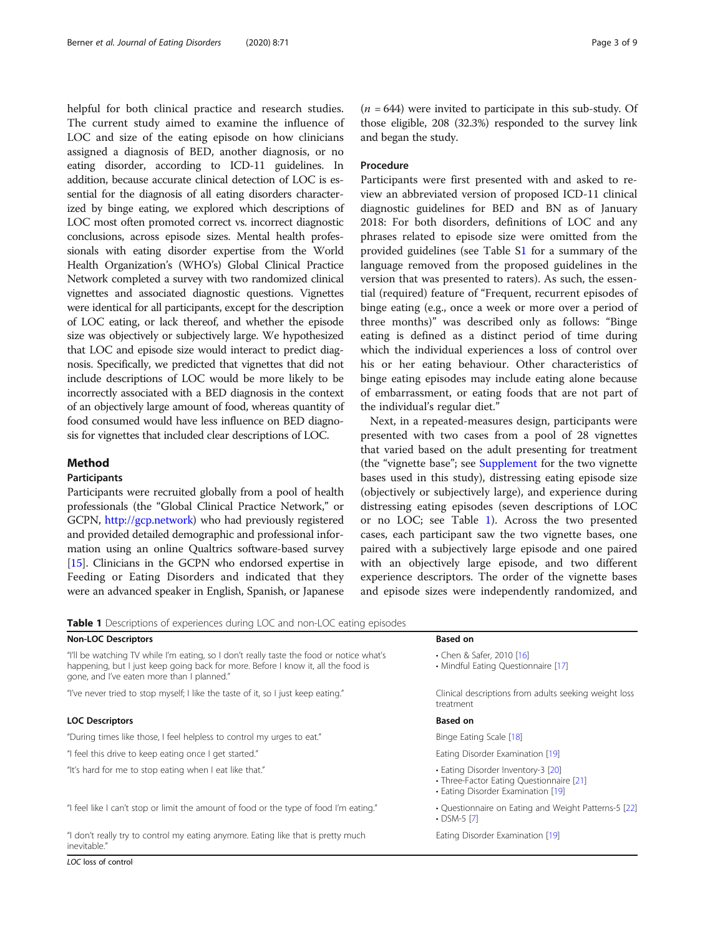<span id="page-2-0"></span>helpful for both clinical practice and research studies. The current study aimed to examine the influence of LOC and size of the eating episode on how clinicians assigned a diagnosis of BED, another diagnosis, or no eating disorder, according to ICD-11 guidelines. In addition, because accurate clinical detection of LOC is essential for the diagnosis of all eating disorders characterized by binge eating, we explored which descriptions of LOC most often promoted correct vs. incorrect diagnostic conclusions, across episode sizes. Mental health professionals with eating disorder expertise from the World Health Organization's (WHO's) Global Clinical Practice Network completed a survey with two randomized clinical vignettes and associated diagnostic questions. Vignettes were identical for all participants, except for the description of LOC eating, or lack thereof, and whether the episode size was objectively or subjectively large. We hypothesized that LOC and episode size would interact to predict diagnosis. Specifically, we predicted that vignettes that did not include descriptions of LOC would be more likely to be incorrectly associated with a BED diagnosis in the context of an objectively large amount of food, whereas quantity of food consumed would have less influence on BED diagnosis for vignettes that included clear descriptions of LOC.

#### Method

#### Participants

Participants were recruited globally from a pool of health professionals (the "Global Clinical Practice Network," or GCPN, <http://gcp.network>) who had previously registered and provided detailed demographic and professional information using an online Qualtrics software-based survey [[15](#page-7-0)]. Clinicians in the GCPN who endorsed expertise in Feeding or Eating Disorders and indicated that they were an advanced speaker in English, Spanish, or Japanese

 $(n = 644)$  were invited to participate in this sub-study. Of those eligible, 208 (32.3%) responded to the survey link and began the study.

#### Procedure

Participants were first presented with and asked to review an abbreviated version of proposed ICD-11 clinical diagnostic guidelines for BED and BN as of January 2018: For both disorders, definitions of LOC and any phrases related to episode size were omitted from the provided guidelines (see Table [S1](#page-7-0) for a summary of the language removed from the proposed guidelines in the version that was presented to raters). As such, the essential (required) feature of "Frequent, recurrent episodes of binge eating (e.g., once a week or more over a period of three months)" was described only as follows: "Binge eating is defined as a distinct period of time during which the individual experiences a loss of control over his or her eating behaviour. Other characteristics of binge eating episodes may include eating alone because of embarrassment, or eating foods that are not part of the individual's regular diet."

Next, in a repeated-measures design, participants were presented with two cases from a pool of 28 vignettes that varied based on the adult presenting for treatment (the "vignette base"; see [Supplement](#page-7-0) for the two vignette bases used in this study), distressing eating episode size (objectively or subjectively large), and experience during distressing eating episodes (seven descriptions of LOC or no LOC; see Table 1). Across the two presented cases, each participant saw the two vignette bases, one paired with a subjectively large episode and one paired with an objectively large episode, and two different experience descriptors. The order of the vignette bases and episode sizes were independently randomized, and

**Table 1** Descriptions of experiences during LOC and non-LOC eating episodes

| <b>Non-LOC Descriptors</b>                                                                                                                                                                                                  | <b>Based on</b>                                                                                                      |
|-----------------------------------------------------------------------------------------------------------------------------------------------------------------------------------------------------------------------------|----------------------------------------------------------------------------------------------------------------------|
| "I'll be watching TV while I'm eating, so I don't really taste the food or notice what's<br>happening, but I just keep going back for more. Before I know it, all the food is<br>gone, and I've eaten more than I planned." | • Chen & Safer, 2010 [16]<br>• Mindful Eating Questionnaire [17]                                                     |
| "I've never tried to stop myself; I like the taste of it, so I just keep eating."                                                                                                                                           | Clinical descriptions from adults seeking weight loss<br>treatment                                                   |
| <b>LOC Descriptors</b>                                                                                                                                                                                                      | <b>Based on</b>                                                                                                      |
| "During times like those, I feel helpless to control my urges to eat."                                                                                                                                                      | Binge Eating Scale [18]                                                                                              |
| "I feel this drive to keep eating once I get started."                                                                                                                                                                      | Eating Disorder Examination [19]                                                                                     |
| "It's hard for me to stop eating when I eat like that."                                                                                                                                                                     | • Eating Disorder Inventory-3 [20]<br>• Three-Factor Eating Questionnaire [21]<br>• Eating Disorder Examination [19] |
| "I feel like I can't stop or limit the amount of food or the type of food I'm eating."                                                                                                                                      | • Questionnaire on Eating and Weight Patterns-5 [22]<br>$\cdot$ DSM-5 [7]                                            |
| "I don't really try to control my eating anymore. Eating like that is pretty much<br>inevitable."                                                                                                                           | Eating Disorder Examination [19]                                                                                     |

LOC loss of control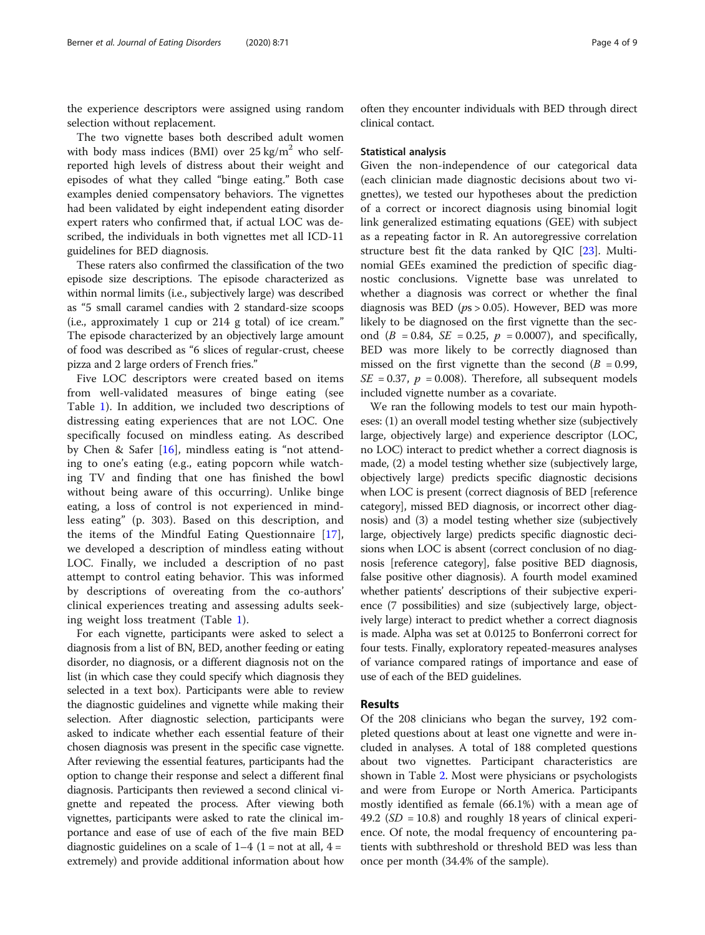the experience descriptors were assigned using random selection without replacement.

The two vignette bases both described adult women with body mass indices (BMI) over  $25 \text{ kg/m}^2$  who selfreported high levels of distress about their weight and episodes of what they called "binge eating." Both case examples denied compensatory behaviors. The vignettes had been validated by eight independent eating disorder expert raters who confirmed that, if actual LOC was described, the individuals in both vignettes met all ICD-11 guidelines for BED diagnosis.

These raters also confirmed the classification of the two episode size descriptions. The episode characterized as within normal limits (i.e., subjectively large) was described as "5 small caramel candies with 2 standard-size scoops (i.e., approximately 1 cup or 214 g total) of ice cream." The episode characterized by an objectively large amount of food was described as "6 slices of regular-crust, cheese pizza and 2 large orders of French fries."

Five LOC descriptors were created based on items from well-validated measures of binge eating (see Table [1](#page-2-0)). In addition, we included two descriptions of distressing eating experiences that are not LOC. One specifically focused on mindless eating. As described by Chen & Safer [\[16](#page-7-0)], mindless eating is "not attending to one's eating (e.g., eating popcorn while watching TV and finding that one has finished the bowl without being aware of this occurring). Unlike binge eating, a loss of control is not experienced in mindless eating" (p. 303). Based on this description, and the items of the Mindful Eating Questionnaire [\[17](#page-7-0)], we developed a description of mindless eating without LOC. Finally, we included a description of no past attempt to control eating behavior. This was informed by descriptions of overeating from the co-authors' clinical experiences treating and assessing adults seeking weight loss treatment (Table [1\)](#page-2-0).

For each vignette, participants were asked to select a diagnosis from a list of BN, BED, another feeding or eating disorder, no diagnosis, or a different diagnosis not on the list (in which case they could specify which diagnosis they selected in a text box). Participants were able to review the diagnostic guidelines and vignette while making their selection. After diagnostic selection, participants were asked to indicate whether each essential feature of their chosen diagnosis was present in the specific case vignette. After reviewing the essential features, participants had the option to change their response and select a different final diagnosis. Participants then reviewed a second clinical vignette and repeated the process. After viewing both vignettes, participants were asked to rate the clinical importance and ease of use of each of the five main BED diagnostic guidelines on a scale of  $1-4$   $(1 =$  not at all,  $4 =$ extremely) and provide additional information about how

often they encounter individuals with BED through direct clinical contact.

#### Statistical analysis

Given the non-independence of our categorical data (each clinician made diagnostic decisions about two vignettes), we tested our hypotheses about the prediction of a correct or incorect diagnosis using binomial logit link generalized estimating equations (GEE) with subject as a repeating factor in R. An autoregressive correlation structure best fit the data ranked by QIC [\[23](#page-8-0)]. Multinomial GEEs examined the prediction of specific diagnostic conclusions. Vignette base was unrelated to whether a diagnosis was correct or whether the final diagnosis was BED ( $ps > 0.05$ ). However, BED was more likely to be diagnosed on the first vignette than the second ( $B = 0.84$ ,  $SE = 0.25$ ,  $p = 0.0007$ ), and specifically, BED was more likely to be correctly diagnosed than missed on the first vignette than the second  $(B = 0.99,$  $SE = 0.37$ ,  $p = 0.008$ ). Therefore, all subsequent models included vignette number as a covariate.

We ran the following models to test our main hypotheses: (1) an overall model testing whether size (subjectively large, objectively large) and experience descriptor (LOC, no LOC) interact to predict whether a correct diagnosis is made, (2) a model testing whether size (subjectively large, objectively large) predicts specific diagnostic decisions when LOC is present (correct diagnosis of BED [reference category], missed BED diagnosis, or incorrect other diagnosis) and (3) a model testing whether size (subjectively large, objectively large) predicts specific diagnostic decisions when LOC is absent (correct conclusion of no diagnosis [reference category], false positive BED diagnosis, false positive other diagnosis). A fourth model examined whether patients' descriptions of their subjective experience (7 possibilities) and size (subjectively large, objectively large) interact to predict whether a correct diagnosis is made. Alpha was set at 0.0125 to Bonferroni correct for four tests. Finally, exploratory repeated-measures analyses of variance compared ratings of importance and ease of use of each of the BED guidelines.

#### Results

Of the 208 clinicians who began the survey, 192 completed questions about at least one vignette and were included in analyses. A total of 188 completed questions about two vignettes. Participant characteristics are shown in Table [2](#page-4-0). Most were physicians or psychologists and were from Europe or North America. Participants mostly identified as female (66.1%) with a mean age of 49.2 ( $SD = 10.8$ ) and roughly 18 years of clinical experience. Of note, the modal frequency of encountering patients with subthreshold or threshold BED was less than once per month (34.4% of the sample).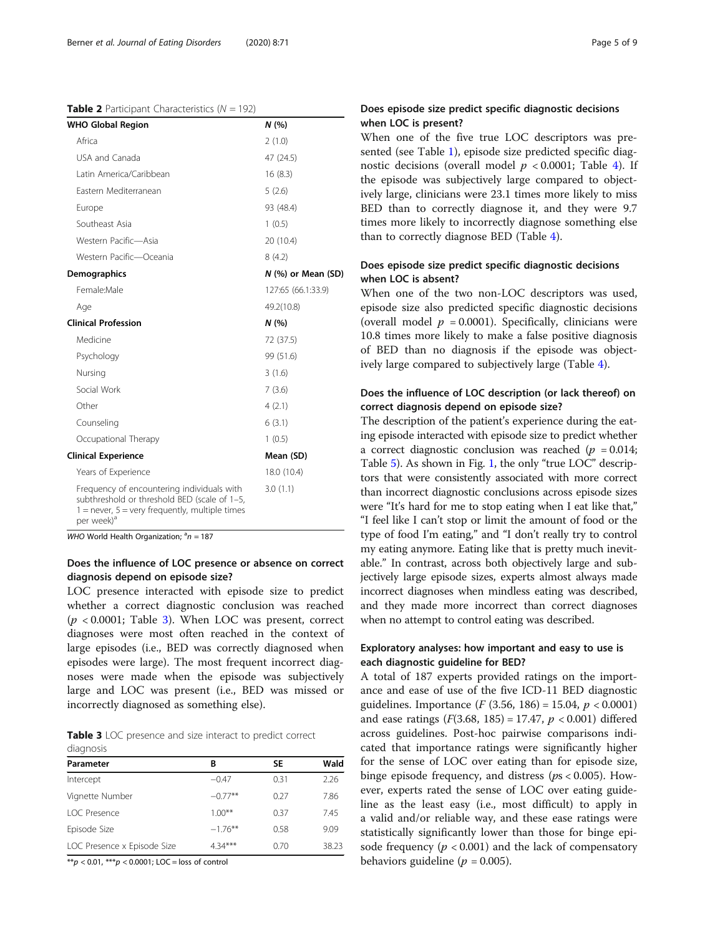#### <span id="page-4-0"></span>**Table 2** Participant Characteristics ( $N = 192$ )

| <b>WHO Global Region</b>                                                                                                                                                   | N(%                |
|----------------------------------------------------------------------------------------------------------------------------------------------------------------------------|--------------------|
| Africa                                                                                                                                                                     | 2(1.0)             |
| USA and Canada                                                                                                                                                             | 47 (24.5)          |
| Latin America/Caribbean                                                                                                                                                    | 16(8.3)            |
| Fastern Mediterranean                                                                                                                                                      | 5(2.6)             |
| Europe                                                                                                                                                                     | 93 (48.4)          |
| Southeast Asia                                                                                                                                                             | 1(0.5)             |
| Western Pacific-Asia                                                                                                                                                       | 20 (10.4)          |
| Western Pacific-Oceania                                                                                                                                                    | 8(4.2)             |
| <b>Demographics</b>                                                                                                                                                        | N (%) or Mean (SD) |
| Female:Male                                                                                                                                                                | 127:65 (66.1:33.9) |
| Age                                                                                                                                                                        | 49.2(10.8)         |
| <b>Clinical Profession</b>                                                                                                                                                 | N(%)               |
| Medicine                                                                                                                                                                   | 72 (37.5)          |
| Psychology                                                                                                                                                                 | 99 (51.6)          |
| Nursing                                                                                                                                                                    | 3(1.6)             |
| Social Work                                                                                                                                                                | 7(3.6)             |
| Other                                                                                                                                                                      | 4(2.1)             |
| Counseling                                                                                                                                                                 | 6(3.1)             |
| Occupational Therapy                                                                                                                                                       | 1(0.5)             |
| <b>Clinical Experience</b>                                                                                                                                                 | Mean (SD)          |
| Years of Experience                                                                                                                                                        | 18.0 (10.4)        |
| Frequency of encountering individuals with<br>subthreshold or threshold BED (scale of 1-5,<br>$1 =$ never, $5 =$ very frequently, multiple times<br>per week) <sup>a</sup> | 3.0(1.1)           |

WHO World Health Organization;  $a_n = 187$ 

#### Does the influence of LOC presence or absence on correct diagnosis depend on episode size?

LOC presence interacted with episode size to predict whether a correct diagnostic conclusion was reached  $(p < 0.0001$ ; Table 3). When LOC was present, correct diagnoses were most often reached in the context of large episodes (i.e., BED was correctly diagnosed when episodes were large). The most frequent incorrect diagnoses were made when the episode was subjectively large and LOC was present (i.e., BED was missed or incorrectly diagnosed as something else).

Table 3 LOC presence and size interact to predict correct diagnosis

| Parameter                   | В         | SΕ   | Wald  |
|-----------------------------|-----------|------|-------|
| Intercept                   | $-0.47$   | 0.31 | 2.26  |
| Vignette Number             | $-0.77**$ | 0.27 | 7.86  |
| <b>LOC Presence</b>         | $1.00***$ | 0.37 | 745   |
| Episode Size                | $-176$ ** | 0.58 | 9.09  |
| LOC Presence x Episode Size | $4.34***$ | 0.70 | 38.23 |

 $**p < 0.01$ ,  $***p < 0.0001$ ; LOC = loss of control

### Does episode size predict specific diagnostic decisions when LOC is present?

When one of the five true LOC descriptors was presented (see Table [1\)](#page-2-0), episode size predicted specific diagnostic decisions (overall model  $p < 0.0001$ ; Table [4\)](#page-5-0). If the episode was subjectively large compared to objectively large, clinicians were 23.1 times more likely to miss BED than to correctly diagnose it, and they were 9.7 times more likely to incorrectly diagnose something else than to correctly diagnose BED (Table [4\)](#page-5-0).

#### Does episode size predict specific diagnostic decisions when LOC is absent?

When one of the two non-LOC descriptors was used, episode size also predicted specific diagnostic decisions (overall model  $p = 0.0001$ ). Specifically, clinicians were 10.8 times more likely to make a false positive diagnosis of BED than no diagnosis if the episode was objectively large compared to subjectively large (Table [4](#page-5-0)).

### Does the influence of LOC description (or lack thereof) on correct diagnosis depend on episode size?

The description of the patient's experience during the eating episode interacted with episode size to predict whether a correct diagnostic conclusion was reached ( $p = 0.014$ ; Table [5\)](#page-5-0). As shown in Fig. [1,](#page-6-0) the only "true LOC" descriptors that were consistently associated with more correct than incorrect diagnostic conclusions across episode sizes were "It's hard for me to stop eating when I eat like that," "I feel like I can't stop or limit the amount of food or the type of food I'm eating," and "I don't really try to control my eating anymore. Eating like that is pretty much inevitable." In contrast, across both objectively large and subjectively large episode sizes, experts almost always made incorrect diagnoses when mindless eating was described, and they made more incorrect than correct diagnoses when no attempt to control eating was described.

### Exploratory analyses: how important and easy to use is each diagnostic guideline for BED?

A total of 187 experts provided ratings on the importance and ease of use of the five ICD-11 BED diagnostic guidelines. Importance (*F* (3.56, 186) = 15.04,  $p < 0.0001$ ) and ease ratings  $(F(3.68, 185) = 17.47, p < 0.001)$  differed across guidelines. Post-hoc pairwise comparisons indicated that importance ratings were significantly higher for the sense of LOC over eating than for episode size, binge episode frequency, and distress ( $ps < 0.005$ ). However, experts rated the sense of LOC over eating guideline as the least easy (i.e., most difficult) to apply in a valid and/or reliable way, and these ease ratings were statistically significantly lower than those for binge episode frequency ( $p < 0.001$ ) and the lack of compensatory behaviors guideline ( $p = 0.005$ ).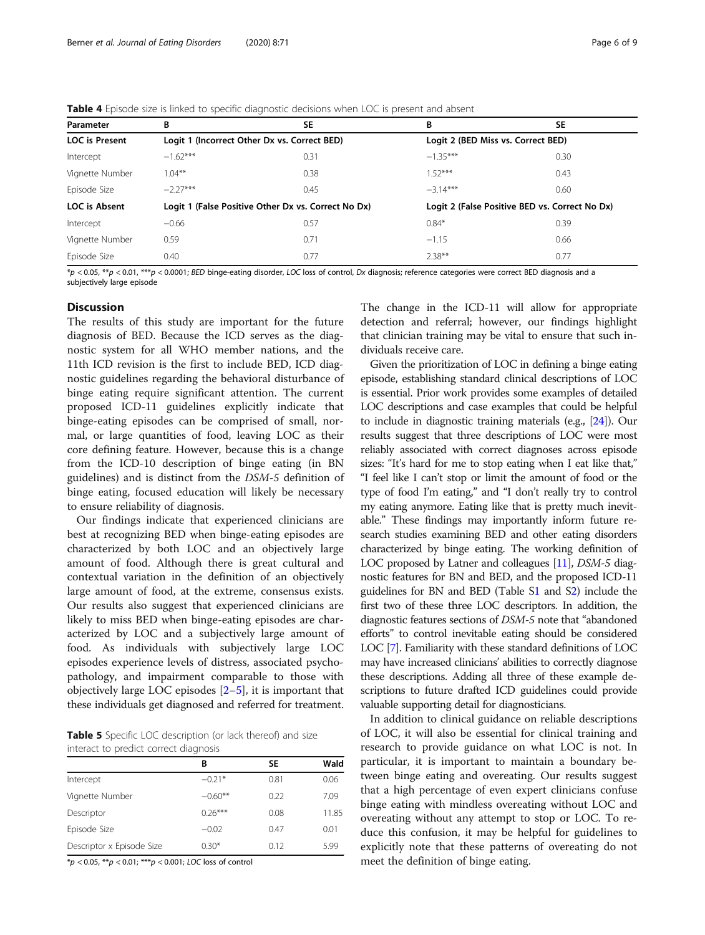<span id="page-5-0"></span>

|  | <b>Table 4</b> Episode size is linked to specific diagnostic decisions when LOC is present and absent |  |
|--|-------------------------------------------------------------------------------------------------------|--|
|  |                                                                                                       |  |

| Parameter             | В                                                   | SE   | В                                  | <b>SE</b>                                      |
|-----------------------|-----------------------------------------------------|------|------------------------------------|------------------------------------------------|
| <b>LOC</b> is Present | Logit 1 (Incorrect Other Dx vs. Correct BED)        |      | Logit 2 (BED Miss vs. Correct BED) |                                                |
| Intercept             | $-1.62***$                                          | 0.31 | $-1.35***$                         | 0.30                                           |
| Vignette Number       | $1.04***$                                           | 0.38 | $152***$                           | 0.43                                           |
| Episode Size          | $-2.27***$                                          | 0.45 | $-3.14***$                         | 0.60                                           |
| LOC is Absent         | Logit 1 (False Positive Other Dx vs. Correct No Dx) |      |                                    | Logit 2 (False Positive BED vs. Correct No Dx) |
| Intercept             | $-0.66$                                             | 0.57 | $0.84*$                            | 0.39                                           |
| Vignette Number       | 0.59                                                | 0.71 | $-1.15$                            | 0.66                                           |
| Episode Size          | 0.40                                                | 0.77 | $2.38***$                          | 0.77                                           |

 $p < 0.05$ ,  $\mu p < 0.01$ ,  $\mu p > 0.0001$ ; BED binge-eating disorder, LOC loss of control, Dx diagnosis; reference categories were correct BED diagnosis and a subjectively large episode

#### **Discussion**

The results of this study are important for the future diagnosis of BED. Because the ICD serves as the diagnostic system for all WHO member nations, and the 11th ICD revision is the first to include BED, ICD diagnostic guidelines regarding the behavioral disturbance of binge eating require significant attention. The current proposed ICD-11 guidelines explicitly indicate that binge-eating episodes can be comprised of small, normal, or large quantities of food, leaving LOC as their core defining feature. However, because this is a change from the ICD-10 description of binge eating (in BN guidelines) and is distinct from the DSM-5 definition of binge eating, focused education will likely be necessary to ensure reliability of diagnosis.

Our findings indicate that experienced clinicians are best at recognizing BED when binge-eating episodes are characterized by both LOC and an objectively large amount of food. Although there is great cultural and contextual variation in the definition of an objectively large amount of food, at the extreme, consensus exists. Our results also suggest that experienced clinicians are likely to miss BED when binge-eating episodes are characterized by LOC and a subjectively large amount of food. As individuals with subjectively large LOC episodes experience levels of distress, associated psychopathology, and impairment comparable to those with objectively large LOC episodes [[2](#page-7-0)–[5](#page-7-0)], it is important that these individuals get diagnosed and referred for treatment.

Table 5 Specific LOC description (or lack thereof) and size interact to predict correct diagnosis

|                           | в         | <b>SE</b> | Wald  |
|---------------------------|-----------|-----------|-------|
| Intercept                 | $-0.21*$  | 0.81      | 0.06  |
| Vignette Number           | $-0.60**$ | 0.22      | 7.09  |
| Descriptor                | $0.26***$ | 0.08      | 11.85 |
| Episode Size              | $-0.02$   | 0.47      | 0.01  |
| Descriptor x Episode Size | $0.30*$   | 0.12      | 5.99  |

\*p < 0.05, \*\*p < 0.01; \*\*\*p < 0.001; LOC loss of control

The change in the ICD-11 will allow for appropriate detection and referral; however, our findings highlight that clinician training may be vital to ensure that such individuals receive care.

Given the prioritization of LOC in defining a binge eating episode, establishing standard clinical descriptions of LOC is essential. Prior work provides some examples of detailed LOC descriptions and case examples that could be helpful to include in diagnostic training materials (e.g., [\[24\]](#page-8-0)). Our results suggest that three descriptions of LOC were most reliably associated with correct diagnoses across episode sizes: "It's hard for me to stop eating when I eat like that," "I feel like I can't stop or limit the amount of food or the type of food I'm eating," and "I don't really try to control my eating anymore. Eating like that is pretty much inevitable." These findings may importantly inform future research studies examining BED and other eating disorders characterized by binge eating. The working definition of LOC proposed by Latner and colleagues [\[11\]](#page-7-0), DSM-5 diagnostic features for BN and BED, and the proposed ICD-11 guidelines for BN and BED (Table S[1](#page-7-0) and S[2](#page-7-0)) include the first two of these three LOC descriptors. In addition, the diagnostic features sections of DSM-5 note that "abandoned efforts" to control inevitable eating should be considered LOC [[7](#page-7-0)]. Familiarity with these standard definitions of LOC may have increased clinicians' abilities to correctly diagnose these descriptions. Adding all three of these example descriptions to future drafted ICD guidelines could provide valuable supporting detail for diagnosticians.

In addition to clinical guidance on reliable descriptions of LOC, it will also be essential for clinical training and research to provide guidance on what LOC is not. In particular, it is important to maintain a boundary between binge eating and overeating. Our results suggest that a high percentage of even expert clinicians confuse binge eating with mindless overeating without LOC and overeating without any attempt to stop or LOC. To reduce this confusion, it may be helpful for guidelines to explicitly note that these patterns of overeating do not meet the definition of binge eating.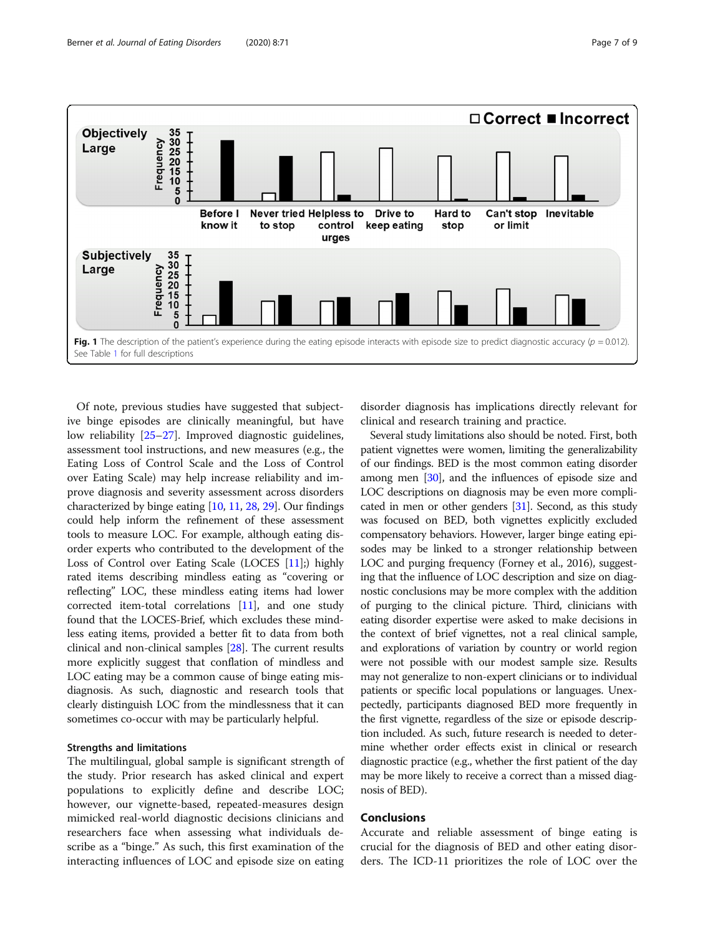<span id="page-6-0"></span>

Of note, previous studies have suggested that subjective binge episodes are clinically meaningful, but have low reliability [[25](#page-8-0)–[27](#page-8-0)]. Improved diagnostic guidelines, assessment tool instructions, and new measures (e.g., the Eating Loss of Control Scale and the Loss of Control over Eating Scale) may help increase reliability and improve diagnosis and severity assessment across disorders characterized by binge eating [[10,](#page-7-0) [11,](#page-7-0) [28](#page-8-0), [29\]](#page-8-0). Our findings could help inform the refinement of these assessment tools to measure LOC. For example, although eating disorder experts who contributed to the development of the Loss of Control over Eating Scale (LOCES [[11](#page-7-0)];) highly rated items describing mindless eating as "covering or reflecting" LOC, these mindless eating items had lower corrected item-total correlations [\[11](#page-7-0)], and one study found that the LOCES-Brief, which excludes these mindless eating items, provided a better fit to data from both clinical and non-clinical samples [[28](#page-8-0)]. The current results more explicitly suggest that conflation of mindless and LOC eating may be a common cause of binge eating misdiagnosis. As such, diagnostic and research tools that clearly distinguish LOC from the mindlessness that it can sometimes co-occur with may be particularly helpful.

#### Strengths and limitations

The multilingual, global sample is significant strength of the study. Prior research has asked clinical and expert populations to explicitly define and describe LOC; however, our vignette-based, repeated-measures design mimicked real-world diagnostic decisions clinicians and researchers face when assessing what individuals describe as a "binge." As such, this first examination of the interacting influences of LOC and episode size on eating

disorder diagnosis has implications directly relevant for clinical and research training and practice.

Several study limitations also should be noted. First, both patient vignettes were women, limiting the generalizability of our findings. BED is the most common eating disorder among men [\[30](#page-8-0)], and the influences of episode size and LOC descriptions on diagnosis may be even more complicated in men or other genders [[31](#page-8-0)]. Second, as this study was focused on BED, both vignettes explicitly excluded compensatory behaviors. However, larger binge eating episodes may be linked to a stronger relationship between LOC and purging frequency (Forney et al., 2016), suggesting that the influence of LOC description and size on diagnostic conclusions may be more complex with the addition of purging to the clinical picture. Third, clinicians with eating disorder expertise were asked to make decisions in the context of brief vignettes, not a real clinical sample, and explorations of variation by country or world region were not possible with our modest sample size. Results may not generalize to non-expert clinicians or to individual patients or specific local populations or languages. Unexpectedly, participants diagnosed BED more frequently in the first vignette, regardless of the size or episode description included. As such, future research is needed to determine whether order effects exist in clinical or research diagnostic practice (e.g., whether the first patient of the day may be more likely to receive a correct than a missed diagnosis of BED).

### Conclusions

Accurate and reliable assessment of binge eating is crucial for the diagnosis of BED and other eating disorders. The ICD-11 prioritizes the role of LOC over the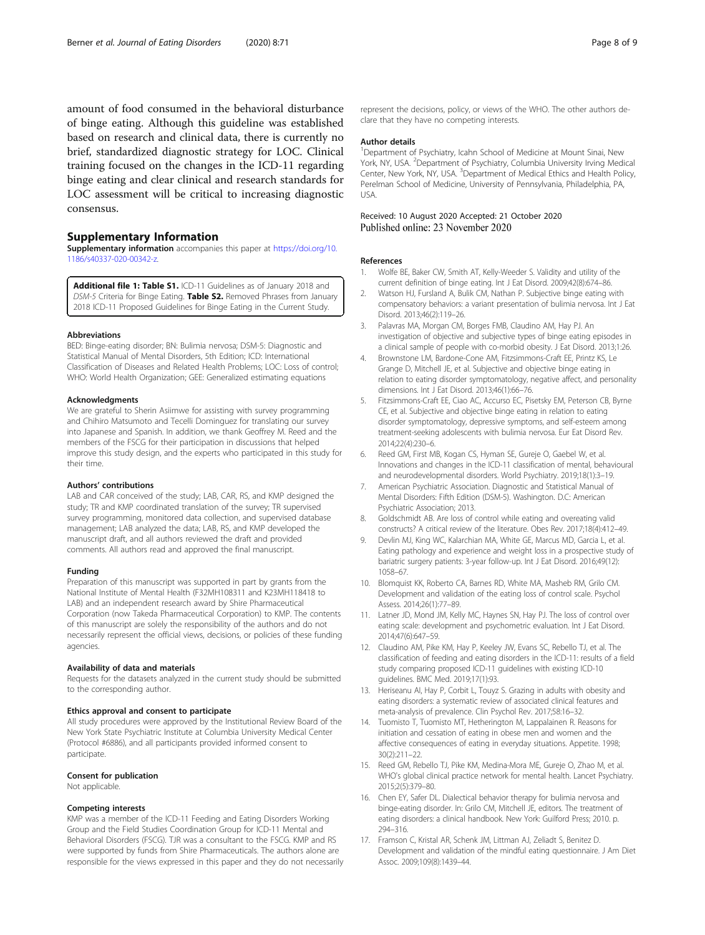<span id="page-7-0"></span>amount of food consumed in the behavioral disturbance of binge eating. Although this guideline was established based on research and clinical data, there is currently no brief, standardized diagnostic strategy for LOC. Clinical training focused on the changes in the ICD-11 regarding binge eating and clear clinical and research standards for LOC assessment will be critical to increasing diagnostic consensus.

#### Supplementary Information

Supplementary information accompanies this paper at [https://doi.org/10.](https://doi.org/10.1186/s40337-020-00342-z) [1186/s40337-020-00342-z.](https://doi.org/10.1186/s40337-020-00342-z)

Additional file 1: Table S1. ICD-11 Guidelines as of January 2018 and DSM-5 Criteria for Binge Eating. Table S2. Removed Phrases from January 2018 ICD-11 Proposed Guidelines for Binge Eating in the Current Study.

#### Abbreviations

BED: Binge-eating disorder; BN: Bulimia nervosa; DSM-5: Diagnostic and Statistical Manual of Mental Disorders, 5th Edition; ICD: International Classification of Diseases and Related Health Problems; LOC: Loss of control; WHO: World Health Organization; GEE: Generalized estimating equations

#### Acknowledgments

We are grateful to Sherin Asiimwe for assisting with survey programming and Chihiro Matsumoto and Tecelli Dominguez for translating our survey into Japanese and Spanish. In addition, we thank Geoffrey M. Reed and the members of the FSCG for their participation in discussions that helped improve this study design, and the experts who participated in this study for their time.

#### Authors' contributions

LAB and CAR conceived of the study; LAB, CAR, RS, and KMP designed the study; TR and KMP coordinated translation of the survey; TR supervised survey programming, monitored data collection, and supervised database management; LAB analyzed the data; LAB, RS, and KMP developed the manuscript draft, and all authors reviewed the draft and provided comments. All authors read and approved the final manuscript.

#### Funding

Preparation of this manuscript was supported in part by grants from the National Institute of Mental Health (F32MH108311 and K23MH118418 to LAB) and an independent research award by Shire Pharmaceutical Corporation (now Takeda Pharmaceutical Corporation) to KMP. The contents of this manuscript are solely the responsibility of the authors and do not necessarily represent the official views, decisions, or policies of these funding agencies.

#### Availability of data and materials

Requests for the datasets analyzed in the current study should be submitted to the corresponding author.

#### Ethics approval and consent to participate

All study procedures were approved by the Institutional Review Board of the New York State Psychiatric Institute at Columbia University Medical Center (Protocol #6886), and all participants provided informed consent to participate.

#### Consent for publication

Not applicable.

#### Competing interests

KMP was a member of the ICD-11 Feeding and Eating Disorders Working Group and the Field Studies Coordination Group for ICD-11 Mental and Behavioral Disorders (FSCG). TJR was a consultant to the FSCG. KMP and RS were supported by funds from Shire Pharmaceuticals. The authors alone are responsible for the views expressed in this paper and they do not necessarily represent the decisions, policy, or views of the WHO. The other authors declare that they have no competing interests.

#### Author details

<sup>1</sup>Department of Psychiatry, Icahn School of Medicine at Mount Sinai, New York, NY, USA. <sup>2</sup> Department of Psychiatry, Columbia University Irving Medical Center, New York, NY, USA. <sup>3</sup> Department of Medical Ethics and Health Policy, Perelman School of Medicine, University of Pennsylvania, Philadelphia, PA, USA.

#### Received: 10 August 2020 Accepted: 21 October 2020 Published online: 23 November 2020

#### References

- 1. Wolfe BE, Baker CW, Smith AT, Kelly-Weeder S. Validity and utility of the current definition of binge eating. Int J Eat Disord. 2009;42(8):674–86.
- 2. Watson HJ, Fursland A, Bulik CM, Nathan P. Subjective binge eating with compensatory behaviors: a variant presentation of bulimia nervosa. Int J Eat Disord. 2013;46(2):119–26.
- 3. Palavras MA, Morgan CM, Borges FMB, Claudino AM, Hay PJ. An investigation of objective and subjective types of binge eating episodes in a clinical sample of people with co-morbid obesity. J Eat Disord. 2013;1:26.
- 4. Brownstone LM, Bardone-Cone AM, Fitzsimmons-Craft EE, Printz KS, Le Grange D, Mitchell JE, et al. Subjective and objective binge eating in relation to eating disorder symptomatology, negative affect, and personality dimensions. Int J Eat Disord. 2013;46(1):66–76.
- 5. Fitzsimmons-Craft EE, Ciao AC, Accurso EC, Pisetsky EM, Peterson CB, Byrne CE, et al. Subjective and objective binge eating in relation to eating disorder symptomatology, depressive symptoms, and self-esteem among treatment-seeking adolescents with bulimia nervosa. Eur Eat Disord Rev. 2014;22(4):230–6.
- Reed GM, First MB, Kogan CS, Hyman SE, Gureje O, Gaebel W, et al. Innovations and changes in the ICD-11 classification of mental, behavioural and neurodevelopmental disorders. World Psychiatry. 2019;18(1):3–19.
- 7. American Psychiatric Association. Diagnostic and Statistical Manual of Mental Disorders: Fifth Edition (DSM-5). Washington. D.C: American Psychiatric Association; 2013.
- 8. Goldschmidt AB. Are loss of control while eating and overeating valid constructs? A critical review of the literature. Obes Rev. 2017;18(4):412–49.
- Devlin MJ, King WC, Kalarchian MA, White GE, Marcus MD, Garcia L, et al. Eating pathology and experience and weight loss in a prospective study of bariatric surgery patients: 3-year follow-up. Int J Eat Disord. 2016;49(12): 1058–67.
- 10. Blomquist KK, Roberto CA, Barnes RD, White MA, Masheb RM, Grilo CM. Development and validation of the eating loss of control scale. Psychol Assess. 2014;26(1):77–89.
- 11. Latner JD, Mond JM, Kelly MC, Haynes SN, Hay PJ. The loss of control over eating scale: development and psychometric evaluation. Int J Eat Disord. 2014;47(6):647–59.
- 12. Claudino AM, Pike KM, Hay P, Keeley JW, Evans SC, Rebello TJ, et al. The classification of feeding and eating disorders in the ICD-11: results of a field study comparing proposed ICD-11 guidelines with existing ICD-10 guidelines. BMC Med. 2019;17(1):93.
- 13. Heriseanu AI, Hay P, Corbit L, Touyz S. Grazing in adults with obesity and eating disorders: a systematic review of associated clinical features and meta-analysis of prevalence. Clin Psychol Rev. 2017;58:16–32.
- 14. Tuomisto T, Tuomisto MT, Hetherington M, Lappalainen R. Reasons for initiation and cessation of eating in obese men and women and the affective consequences of eating in everyday situations. Appetite. 1998; 30(2):211–22.
- 15. Reed GM, Rebello TJ, Pike KM, Medina-Mora ME, Gureje O, Zhao M, et al. WHO's global clinical practice network for mental health. Lancet Psychiatry. 2015;2(5):379–80.
- 16. Chen EY, Safer DL. Dialectical behavior therapy for bulimia nervosa and binge-eating disorder. In: Grilo CM, Mitchell JE, editors. The treatment of eating disorders: a clinical handbook. New York: Guilford Press; 2010. p. 294–316.
- 17. Framson C, Kristal AR, Schenk JM, Littman AJ, Zeliadt S, Benitez D. Development and validation of the mindful eating questionnaire. J Am Diet Assoc. 2009;109(8):1439–44.